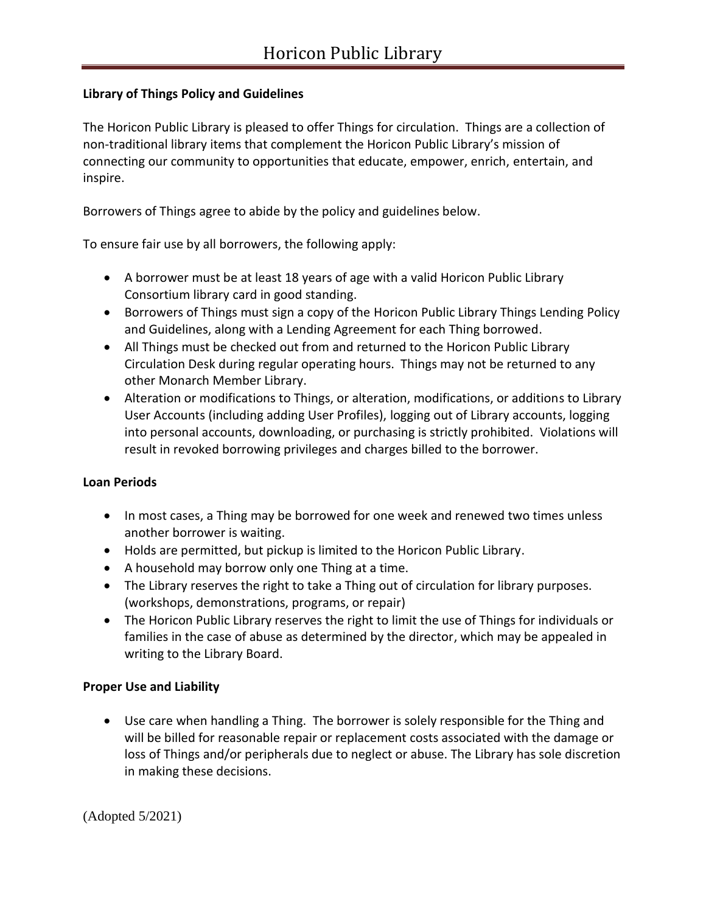## **Library of Things Policy and Guidelines**

The Horicon Public Library is pleased to offer Things for circulation. Things are a collection of non-traditional library items that complement the Horicon Public Library's mission of connecting our community to opportunities that educate, empower, enrich, entertain, and inspire.

Borrowers of Things agree to abide by the policy and guidelines below.

To ensure fair use by all borrowers, the following apply:

- A borrower must be at least 18 years of age with a valid Horicon Public Library Consortium library card in good standing.
- Borrowers of Things must sign a copy of the Horicon Public Library Things Lending Policy and Guidelines, along with a Lending Agreement for each Thing borrowed.
- All Things must be checked out from and returned to the Horicon Public Library Circulation Desk during regular operating hours. Things may not be returned to any other Monarch Member Library.
- Alteration or modifications to Things, or alteration, modifications, or additions to Library User Accounts (including adding User Profiles), logging out of Library accounts, logging into personal accounts, downloading, or purchasing is strictly prohibited. Violations will result in revoked borrowing privileges and charges billed to the borrower.

## **Loan Periods**

- In most cases, a Thing may be borrowed for one week and renewed two times unless another borrower is waiting.
- Holds are permitted, but pickup is limited to the Horicon Public Library.
- A household may borrow only one Thing at a time.
- The Library reserves the right to take a Thing out of circulation for library purposes. (workshops, demonstrations, programs, or repair)
- The Horicon Public Library reserves the right to limit the use of Things for individuals or families in the case of abuse as determined by the director, which may be appealed in writing to the Library Board.

## **Proper Use and Liability**

• Use care when handling a Thing. The borrower is solely responsible for the Thing and will be billed for reasonable repair or replacement costs associated with the damage or loss of Things and/or peripherals due to neglect or abuse. The Library has sole discretion in making these decisions.

(Adopted 5/2021)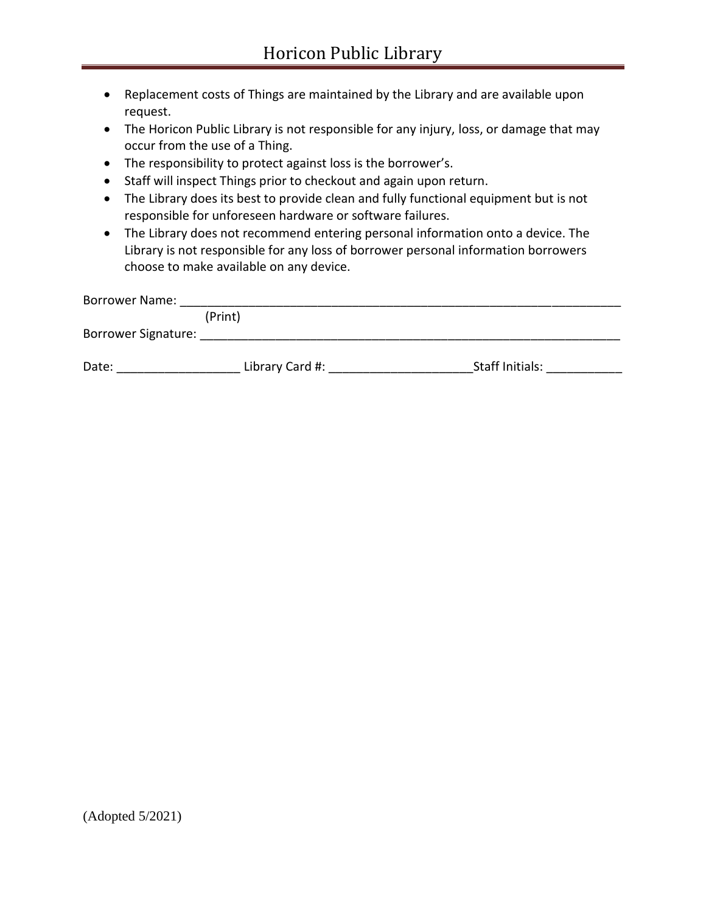- Replacement costs of Things are maintained by the Library and are available upon request.
- The Horicon Public Library is not responsible for any injury, loss, or damage that may occur from the use of a Thing.
- The responsibility to protect against loss is the borrower's.
- Staff will inspect Things prior to checkout and again upon return.
- The Library does its best to provide clean and fully functional equipment but is not responsible for unforeseen hardware or software failures.
- The Library does not recommend entering personal information onto a device. The Library is not responsible for any loss of borrower personal information borrowers choose to make available on any device.

| <b>Borrower Name:</b> |                 |                 |
|-----------------------|-----------------|-----------------|
|                       | (Print)         |                 |
| Borrower Signature:   |                 |                 |
| Date:                 | Library Card #: | Staff Initials: |